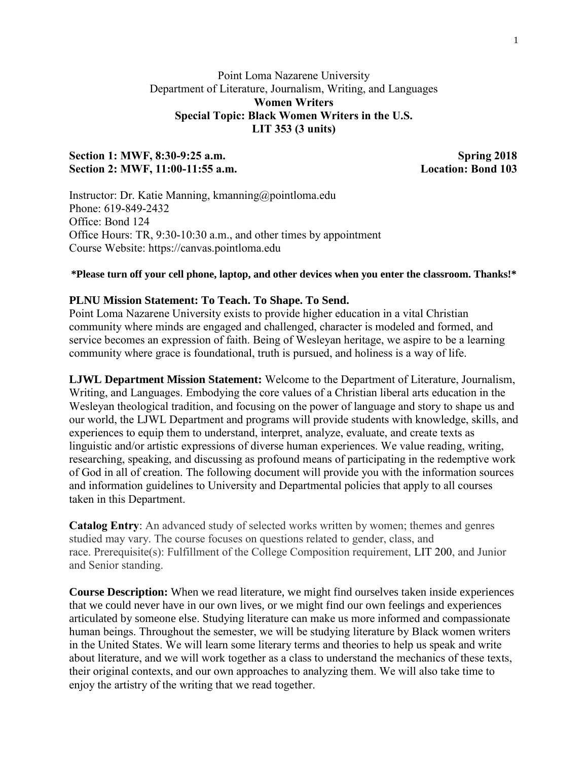# Point Loma Nazarene University Department of Literature, Journalism, Writing, and Languages **Women Writers Special Topic: Black Women Writers in the U.S. LIT 353 (3 units)**

# Section 1: MWF, 8:30-9:25 a.m. Spring 2018 **Section 2: MWF, 11:00-11:55 a.m. Location: Bond 103**

Instructor: Dr. Katie Manning, kmanning@pointloma.edu Phone: 619-849-2432 Office: Bond 124 Office Hours: TR, 9:30-10:30 a.m., and other times by appointment Course Website: https://canvas.pointloma.edu

### **\*Please turn off your cell phone, laptop, and other devices when you enter the classroom. Thanks!\***

#### **PLNU Mission Statement: To Teach. To Shape. To Send.**

Point Loma Nazarene University exists to provide higher education in a vital Christian community where minds are engaged and challenged, character is modeled and formed, and service becomes an expression of faith. Being of Wesleyan heritage, we aspire to be a learning community where grace is foundational, truth is pursued, and holiness is a way of life.

**LJWL Department Mission Statement:** Welcome to the Department of Literature, Journalism, Writing, and Languages. Embodying the core values of a Christian liberal arts education in the Wesleyan theological tradition, and focusing on the power of language and story to shape us and our world, the LJWL Department and programs will provide students with knowledge, skills, and experiences to equip them to understand, interpret, analyze, evaluate, and create texts as linguistic and/or artistic expressions of diverse human experiences. We value reading, writing, researching, speaking, and discussing as profound means of participating in the redemptive work of God in all of creation. The following document will provide you with the information sources and information guidelines to University and Departmental policies that apply to all courses taken in this Department.

**Catalog Entry**: An advanced study of selected works written by women; themes and genres studied may vary. The course focuses on questions related to gender, class, and race. Prerequisite(s): Fulfillment of the College Composition requirement, LIT 200, and Junior and Senior standing.

**Course Description:** When we read literature, we might find ourselves taken inside experiences that we could never have in our own lives, or we might find our own feelings and experiences articulated by someone else. Studying literature can make us more informed and compassionate human beings. Throughout the semester, we will be studying literature by Black women writers in the United States. We will learn some literary terms and theories to help us speak and write about literature, and we will work together as a class to understand the mechanics of these texts, their original contexts, and our own approaches to analyzing them. We will also take time to enjoy the artistry of the writing that we read together.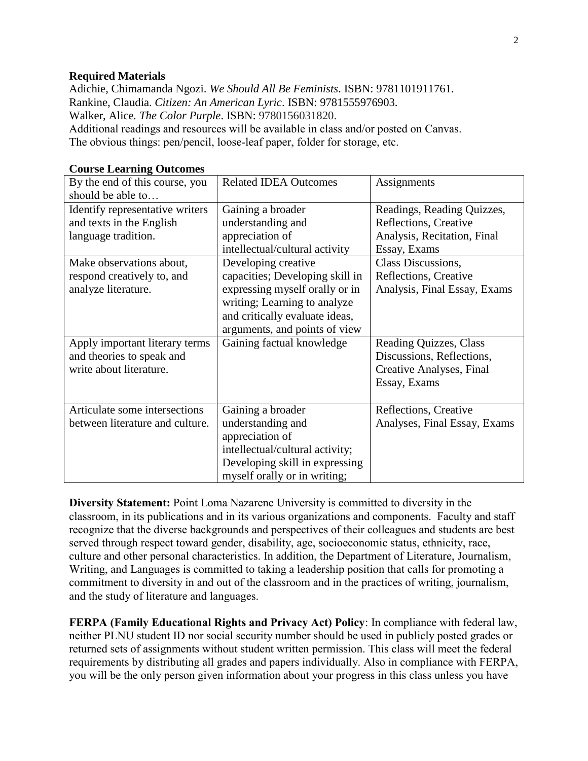#### **Required Materials**

Adichie, Chimamanda Ngozi. *We Should All Be Feminists*. ISBN: 9781101911761. Rankine, Claudia. *Citizen: An American Lyric*. ISBN: 9781555976903. Walker, Alice*. The Color Purple*. ISBN: 9780156031820. Additional readings and resources will be available in class and/or posted on Canvas. The obvious things: pen/pencil, loose-leaf paper, folder for storage, etc.

| By the end of this course, you<br>should be able to                                                                                                                 | <b>Related IDEA Outcomes</b>                                                                                                                                                                                                                              | Assignments                                                                                                                                                                       |
|---------------------------------------------------------------------------------------------------------------------------------------------------------------------|-----------------------------------------------------------------------------------------------------------------------------------------------------------------------------------------------------------------------------------------------------------|-----------------------------------------------------------------------------------------------------------------------------------------------------------------------------------|
| Identify representative writers<br>and texts in the English<br>language tradition.<br>Make observations about,<br>respond creatively to, and<br>analyze literature. | Gaining a broader<br>understanding and<br>appreciation of<br>intellectual/cultural activity<br>Developing creative<br>capacities; Developing skill in<br>expressing myself orally or in<br>writing; Learning to analyze<br>and critically evaluate ideas, | Readings, Reading Quizzes,<br>Reflections, Creative<br>Analysis, Recitation, Final<br>Essay, Exams<br>Class Discussions,<br>Reflections, Creative<br>Analysis, Final Essay, Exams |
|                                                                                                                                                                     | arguments, and points of view                                                                                                                                                                                                                             |                                                                                                                                                                                   |
| Apply important literary terms<br>and theories to speak and<br>write about literature.                                                                              | Gaining factual knowledge                                                                                                                                                                                                                                 | Reading Quizzes, Class<br>Discussions, Reflections,<br>Creative Analyses, Final<br>Essay, Exams                                                                                   |
| Articulate some intersections<br>between literature and culture.                                                                                                    | Gaining a broader<br>understanding and<br>appreciation of<br>intellectual/cultural activity;<br>Developing skill in expressing<br>myself orally or in writing;                                                                                            | Reflections, Creative<br>Analyses, Final Essay, Exams                                                                                                                             |

#### **Course Learning Outcomes**

**Diversity Statement:** Point Loma Nazarene University is committed to diversity in the classroom, in its publications and in its various organizations and components. Faculty and staff recognize that the diverse backgrounds and perspectives of their colleagues and students are best served through respect toward gender, disability, age, socioeconomic status, ethnicity, race, culture and other personal characteristics. In addition, the Department of Literature, Journalism, Writing, and Languages is committed to taking a leadership position that calls for promoting a commitment to diversity in and out of the classroom and in the practices of writing, journalism, and the study of literature and languages.

**FERPA (Family Educational Rights and Privacy Act) Policy**: In compliance with federal law, neither PLNU student ID nor social security number should be used in publicly posted grades or returned sets of assignments without student written permission. This class will meet the federal requirements by distributing all grades and papers individually. Also in compliance with FERPA, you will be the only person given information about your progress in this class unless you have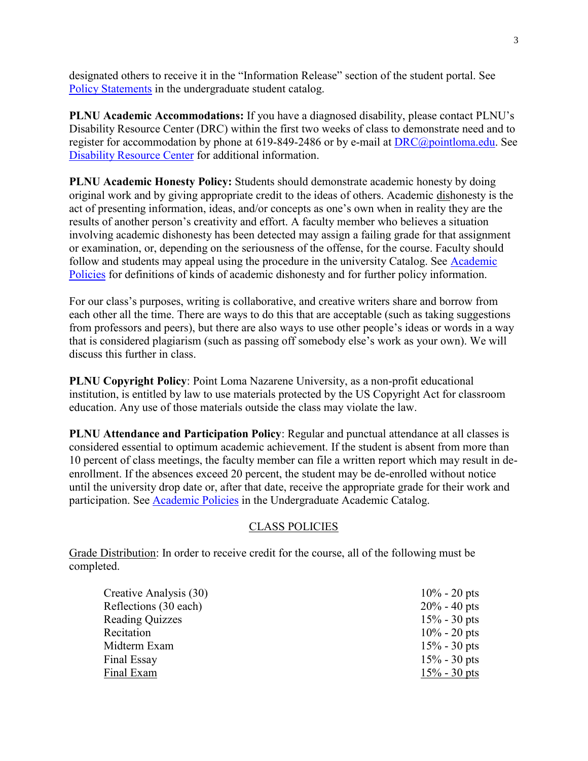designated others to receive it in the "Information Release" section of the student portal. See [Policy Statements](http://catalog.pointloma.edu/content.php?catoid=8&navoid=864) in the undergraduate student catalog.

**PLNU Academic Accommodations:** If you have a diagnosed disability, please contact PLNU's Disability Resource Center (DRC) within the first two weeks of class to demonstrate need and to register for accommodation by phone at 619-849-2486 or by e-mail at [DRC@pointloma.edu.](mailto:DRC@pointloma.edu) See [Disability Resource Center](http://www.pointloma.edu/experience/offices/administrative-offices/academic-advising-office/disability-resource-center) for additional information.

**PLNU Academic Honesty Policy:** Students should demonstrate academic honesty by doing original work and by giving appropriate credit to the ideas of others. Academic dishonesty is the act of presenting information, ideas, and/or concepts as one's own when in reality they are the results of another person's creativity and effort. A faculty member who believes a situation involving academic dishonesty has been detected may assign a failing grade for that assignment or examination, or, depending on the seriousness of the offense, for the course. Faculty should follow and students may appeal using the procedure in the university Catalog. See [Academic](http://catalog.pointloma.edu/content.php?catoid=18&navoid=1278)  [Policies](http://catalog.pointloma.edu/content.php?catoid=18&navoid=1278) for definitions of kinds of academic dishonesty and for further policy information.

For our class's purposes, writing is collaborative, and creative writers share and borrow from each other all the time. There are ways to do this that are acceptable (such as taking suggestions from professors and peers), but there are also ways to use other people's ideas or words in a way that is considered plagiarism (such as passing off somebody else's work as your own). We will discuss this further in class.

**PLNU Copyright Policy**: Point Loma Nazarene University, as a non-profit educational institution, is entitled by law to use materials protected by the US Copyright Act for classroom education. Any use of those materials outside the class may violate the law.

**PLNU Attendance and Participation Policy**: Regular and punctual attendance at all classes is considered essential to optimum academic achievement. If the student is absent from more than 10 percent of class meetings, the faculty member can file a written report which may result in deenrollment. If the absences exceed 20 percent, the student may be de-enrolled without notice until the university drop date or, after that date, receive the appropriate grade for their work and participation. See [Academic Policies](http://catalog.pointloma.edu/content.php?catoid=18&navoid=1278) in the Undergraduate Academic Catalog.

## CLASS POLICIES

Grade Distribution: In order to receive credit for the course, all of the following must be completed.

| Creative Analysis (30) | $10\% - 20$ pts |
|------------------------|-----------------|
| Reflections (30 each)  | $20\% - 40$ pts |
| <b>Reading Quizzes</b> | $15\% - 30$ pts |
| Recitation             | $10\% - 20$ pts |
| Midterm Exam           | $15\% - 30$ pts |
| Final Essay            | $15\% - 30$ pts |
| Final Exam             | $15\% - 30$ pts |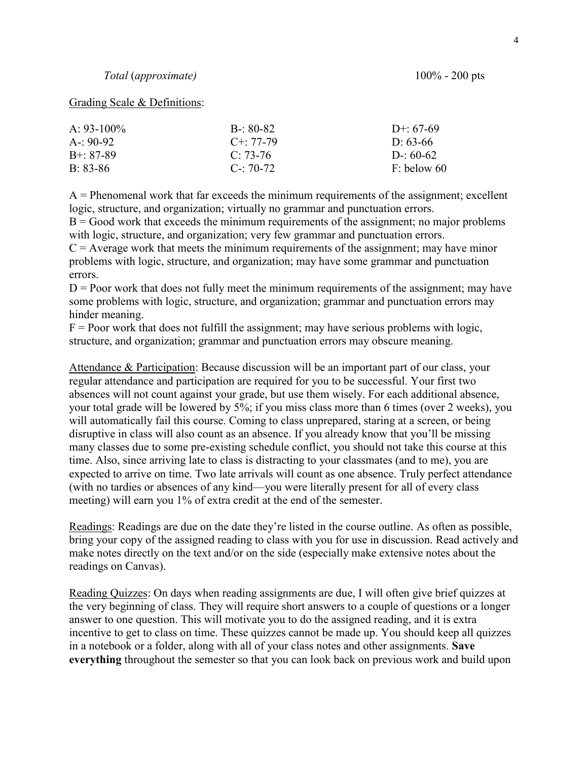#### Grading Scale & Definitions:

| $A \cdot 93 - 100\%$ | $B - 80-82$   | $D^{+}$ 67-69 |
|----------------------|---------------|---------------|
| $A - 90-92$          | $C + 77-79$   | $D: 63-66$    |
| $B + 87-89$          | $C: 73-76$    | D- $60-62$    |
| $B.83-86$            | $C - 70 - 72$ | $F:$ below 60 |

 $A =$  Phenomenal work that far exceeds the minimum requirements of the assignment; excellent logic, structure, and organization; virtually no grammar and punctuation errors.

 $B = Good$  work that exceeds the minimum requirements of the assignment; no major problems with logic, structure, and organization; very few grammar and punctuation errors.

 $C =$  Average work that meets the minimum requirements of the assignment; may have minor problems with logic, structure, and organization; may have some grammar and punctuation errors.

 $D =$  Poor work that does not fully meet the minimum requirements of the assignment; may have some problems with logic, structure, and organization; grammar and punctuation errors may hinder meaning.

 $F =$  Poor work that does not fulfill the assignment; may have serious problems with logic, structure, and organization; grammar and punctuation errors may obscure meaning.

Attendance & Participation: Because discussion will be an important part of our class, your regular attendance and participation are required for you to be successful. Your first two absences will not count against your grade, but use them wisely. For each additional absence, your total grade will be lowered by 5%; if you miss class more than 6 times (over 2 weeks), you will automatically fail this course. Coming to class unprepared, staring at a screen, or being disruptive in class will also count as an absence. If you already know that you'll be missing many classes due to some pre-existing schedule conflict, you should not take this course at this time. Also, since arriving late to class is distracting to your classmates (and to me), you are expected to arrive on time. Two late arrivals will count as one absence. Truly perfect attendance (with no tardies or absences of any kind—you were literally present for all of every class meeting) will earn you 1% of extra credit at the end of the semester.

Readings: Readings are due on the date they're listed in the course outline. As often as possible, bring your copy of the assigned reading to class with you for use in discussion. Read actively and make notes directly on the text and/or on the side (especially make extensive notes about the readings on Canvas).

Reading Quizzes: On days when reading assignments are due, I will often give brief quizzes at the very beginning of class. They will require short answers to a couple of questions or a longer answer to one question. This will motivate you to do the assigned reading, and it is extra incentive to get to class on time. These quizzes cannot be made up. You should keep all quizzes in a notebook or a folder, along with all of your class notes and other assignments. **Save everything** throughout the semester so that you can look back on previous work and build upon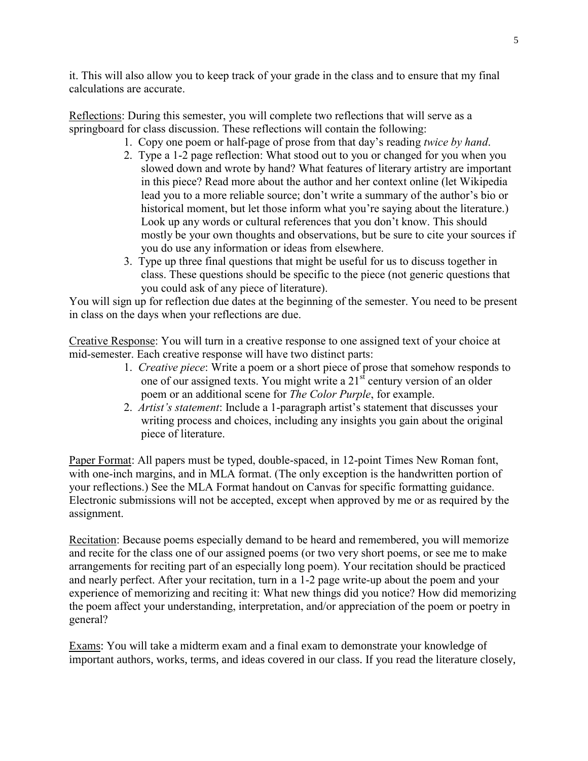it. This will also allow you to keep track of your grade in the class and to ensure that my final calculations are accurate.

Reflections: During this semester, you will complete two reflections that will serve as a springboard for class discussion. These reflections will contain the following:

- 1. Copy one poem or half-page of prose from that day's reading *twice by hand*.
- 2. Type a 1-2 page reflection: What stood out to you or changed for you when you slowed down and wrote by hand? What features of literary artistry are important in this piece? Read more about the author and her context online (let Wikipedia lead you to a more reliable source; don't write a summary of the author's bio or historical moment, but let those inform what you're saying about the literature.) Look up any words or cultural references that you don't know. This should mostly be your own thoughts and observations, but be sure to cite your sources if you do use any information or ideas from elsewhere.
- 3. Type up three final questions that might be useful for us to discuss together in class. These questions should be specific to the piece (not generic questions that you could ask of any piece of literature).

You will sign up for reflection due dates at the beginning of the semester. You need to be present in class on the days when your reflections are due.

Creative Response: You will turn in a creative response to one assigned text of your choice at mid-semester. Each creative response will have two distinct parts:

- 1. *Creative piece*: Write a poem or a short piece of prose that somehow responds to one of our assigned texts. You might write a  $21<sup>st</sup>$  century version of an older poem or an additional scene for *The Color Purple*, for example.
- 2. *Artist's statement*: Include a 1-paragraph artist's statement that discusses your writing process and choices, including any insights you gain about the original piece of literature.

Paper Format: All papers must be typed, double-spaced, in 12-point Times New Roman font, with one-inch margins, and in MLA format. (The only exception is the handwritten portion of your reflections.) See the MLA Format handout on Canvas for specific formatting guidance. Electronic submissions will not be accepted, except when approved by me or as required by the assignment.

Recitation: Because poems especially demand to be heard and remembered, you will memorize and recite for the class one of our assigned poems (or two very short poems, or see me to make arrangements for reciting part of an especially long poem). Your recitation should be practiced and nearly perfect. After your recitation, turn in a 1-2 page write-up about the poem and your experience of memorizing and reciting it: What new things did you notice? How did memorizing the poem affect your understanding, interpretation, and/or appreciation of the poem or poetry in general?

Exams: You will take a midterm exam and a final exam to demonstrate your knowledge of important authors, works, terms, and ideas covered in our class. If you read the literature closely,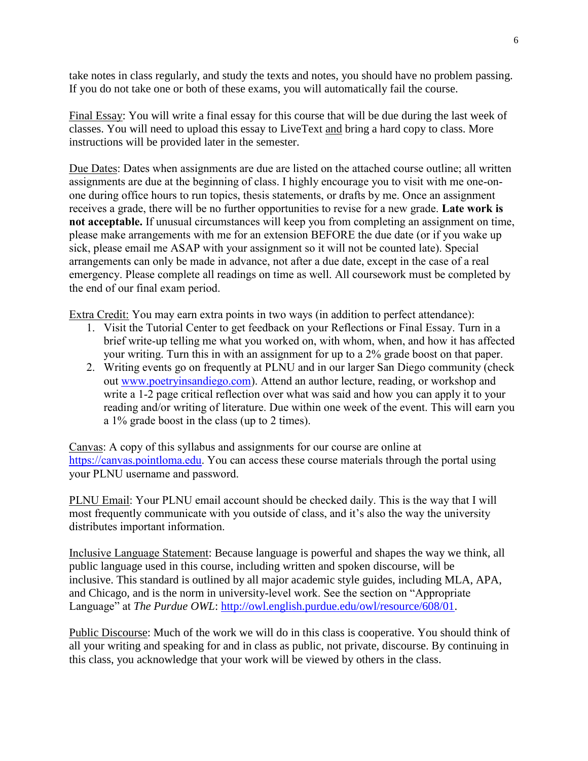take notes in class regularly, and study the texts and notes, you should have no problem passing. If you do not take one or both of these exams, you will automatically fail the course.

Final Essay: You will write a final essay for this course that will be due during the last week of classes. You will need to upload this essay to LiveText and bring a hard copy to class. More instructions will be provided later in the semester.

Due Dates: Dates when assignments are due are listed on the attached course outline; all written assignments are due at the beginning of class. I highly encourage you to visit with me one-onone during office hours to run topics, thesis statements, or drafts by me. Once an assignment receives a grade, there will be no further opportunities to revise for a new grade. **Late work is not acceptable.** If unusual circumstances will keep you from completing an assignment on time, please make arrangements with me for an extension BEFORE the due date (or if you wake up sick, please email me ASAP with your assignment so it will not be counted late). Special arrangements can only be made in advance, not after a due date, except in the case of a real emergency. Please complete all readings on time as well. All coursework must be completed by the end of our final exam period.

Extra Credit: You may earn extra points in two ways (in addition to perfect attendance):

- 1. Visit the Tutorial Center to get feedback on your Reflections or Final Essay. Turn in a brief write-up telling me what you worked on, with whom, when, and how it has affected your writing. Turn this in with an assignment for up to a 2% grade boost on that paper.
- 2. Writing events go on frequently at PLNU and in our larger San Diego community (check out [www.poetryinsandiego.com\)](www.poetryinsandiego.com). Attend an author lecture, reading, or workshop and write a 1-2 page critical reflection over what was said and how you can apply it to your reading and/or writing of literature. Due within one week of the event. This will earn you a 1% grade boost in the class (up to 2 times).

Canvas: A copy of this syllabus and assignments for our course are online at [https://canvas.pointloma.edu.](https://canvas.pointloma.edu/) You can access these course materials through the portal using your PLNU username and password.

PLNU Email: Your PLNU email account should be checked daily. This is the way that I will most frequently communicate with you outside of class, and it's also the way the university distributes important information.

Inclusive Language Statement: Because language is powerful and shapes the way we think, all public language used in this course, including written and spoken discourse, will be inclusive. This standard is outlined by all major academic style guides, including MLA, APA, and Chicago, and is the norm in university-level work. See the section on "Appropriate Language" at *The Purdue OWL*: [http://owl.english.purdue.edu/owl/resource/608/01.](http://owl.english.purdue.edu/owl/resource/608/01)

Public Discourse: Much of the work we will do in this class is cooperative. You should think of all your writing and speaking for and in class as public, not private, discourse. By continuing in this class, you acknowledge that your work will be viewed by others in the class.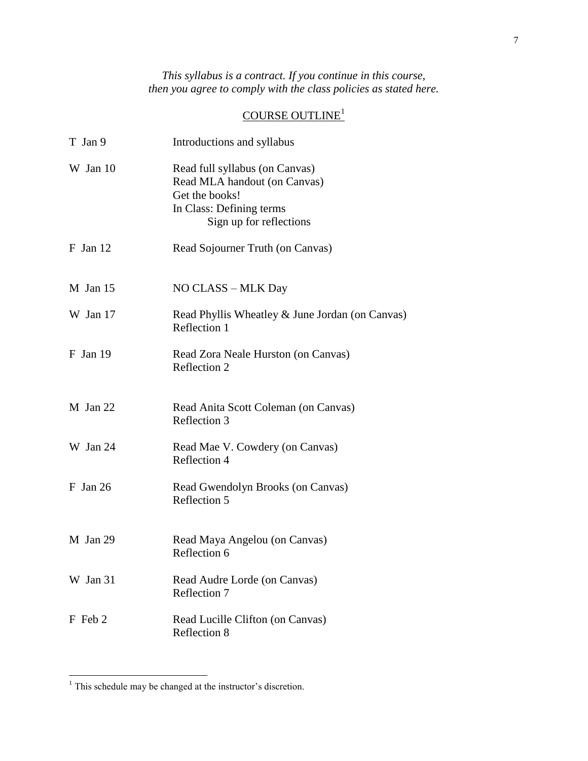*This syllabus is a contract. If you continue in this course, then you agree to comply with the class policies as stated here.*

# COURSE OUTLINE<sup>1</sup>

| T Jan 9    | Introductions and syllabus                                                                                                              |
|------------|-----------------------------------------------------------------------------------------------------------------------------------------|
| W Jan 10   | Read full syllabus (on Canvas)<br>Read MLA handout (on Canvas)<br>Get the books!<br>In Class: Defining terms<br>Sign up for reflections |
| $F$ Jan 12 | Read Sojourner Truth (on Canvas)                                                                                                        |
| $M$ Jan 15 | NO CLASS - MLK Day                                                                                                                      |
| W Jan 17   | Read Phyllis Wheatley & June Jordan (on Canvas)<br>Reflection 1                                                                         |
| $F$ Jan 19 | Read Zora Neale Hurston (on Canvas)<br>Reflection 2                                                                                     |
| M Jan 22   | Read Anita Scott Coleman (on Canvas)<br>Reflection 3                                                                                    |
| W Jan 24   | Read Mae V. Cowdery (on Canvas)<br>Reflection 4                                                                                         |
| $F$ Jan 26 | Read Gwendolyn Brooks (on Canvas)<br>Reflection 5                                                                                       |
| M Jan 29   | Read Maya Angelou (on Canvas)<br>Reflection 6                                                                                           |
| W Jan 31   | Read Audre Lorde (on Canvas)<br>Reflection 7                                                                                            |
| F Feb 2    | Read Lucille Clifton (on Canvas)<br>Reflection 8                                                                                        |

 $\overline{a}$ 

 $<sup>1</sup>$  This schedule may be changed at the instructor's discretion.</sup>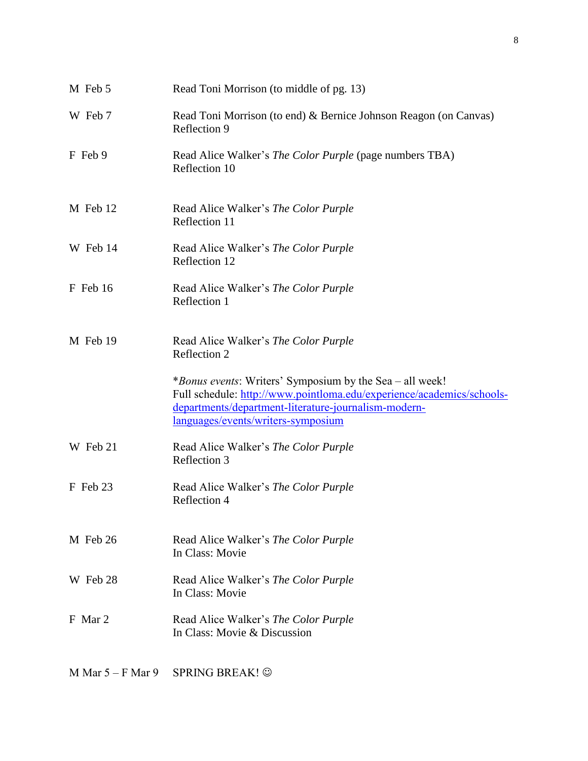| M Feb 5  | Read Toni Morrison (to middle of pg. 13)                                                                                                                            |
|----------|---------------------------------------------------------------------------------------------------------------------------------------------------------------------|
| W Feb 7  | Read Toni Morrison (to end) & Bernice Johnson Reagon (on Canvas)<br>Reflection 9                                                                                    |
| F Feb 9  | Read Alice Walker's <i>The Color Purple</i> (page numbers TBA)<br>Reflection 10                                                                                     |
| M Feb 12 | Read Alice Walker's The Color Purple<br>Reflection 11                                                                                                               |
| W Feb 14 | Read Alice Walker's The Color Purple<br>Reflection 12                                                                                                               |
| F Feb 16 | Read Alice Walker's The Color Purple<br>Reflection 1                                                                                                                |
| M Feb 19 | Read Alice Walker's The Color Purple<br>Reflection 2                                                                                                                |
|          | <i>*Bonus events:</i> Writers' Symposium by the Sea – all week!                                                                                                     |
|          | Full schedule: http://www.pointloma.edu/experience/academics/schools-<br>departments/department-literature-journalism-modern-<br>languages/events/writers-symposium |
| W Feb 21 | Read Alice Walker's The Color Purple<br>Reflection 3                                                                                                                |
| F Feb 23 | Read Alice Walker's The Color Purple<br>Reflection 4                                                                                                                |
| M Feb 26 | Read Alice Walker's The Color Purple<br>In Class: Movie                                                                                                             |
| W Feb 28 | Read Alice Walker's The Color Purple<br>In Class: Movie                                                                                                             |
| F Mar 2  | Read Alice Walker's The Color Purple<br>In Class: Movie & Discussion                                                                                                |

M Mar  $5 - F$  Mar  $9$  SPRING BREAK!  $\odot$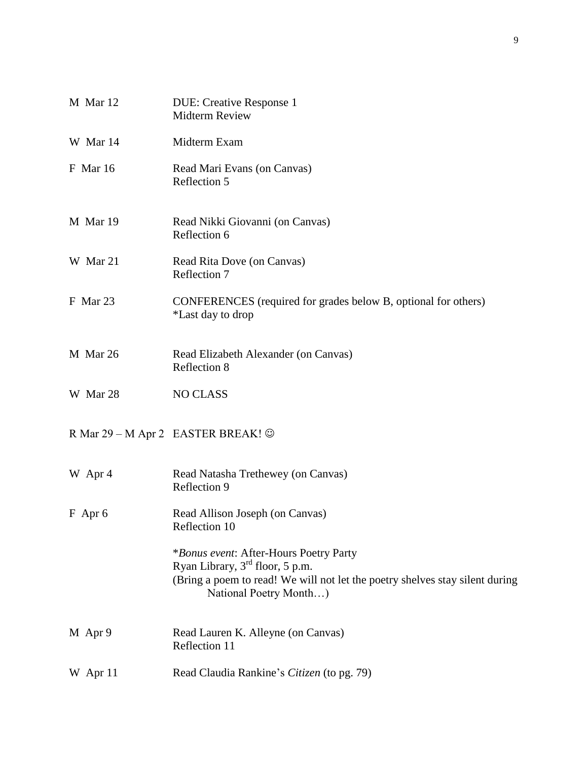| M Mar 12        | <b>DUE: Creative Response 1</b><br><b>Midterm Review</b>                                                                                                                              |
|-----------------|---------------------------------------------------------------------------------------------------------------------------------------------------------------------------------------|
| W Mar 14        | Midterm Exam                                                                                                                                                                          |
| <b>F</b> Mar 16 | Read Mari Evans (on Canvas)<br>Reflection 5                                                                                                                                           |
| M Mar 19        | Read Nikki Giovanni (on Canvas)<br>Reflection 6                                                                                                                                       |
| W Mar 21        | Read Rita Dove (on Canvas)<br>Reflection 7                                                                                                                                            |
| F Mar 23        | CONFERENCES (required for grades below B, optional for others)<br>*Last day to drop                                                                                                   |
| M Mar 26        | Read Elizabeth Alexander (on Canvas)<br>Reflection 8                                                                                                                                  |
| W Mar 28        | <b>NO CLASS</b>                                                                                                                                                                       |
|                 | R Mar 29 – M Apr 2 EASTER BREAK! ©                                                                                                                                                    |
| W Apr 4         | Read Natasha Trethewey (on Canvas)<br>Reflection 9                                                                                                                                    |
| $F$ Apr 6       | Read Allison Joseph (on Canvas)<br>Reflection 10                                                                                                                                      |
|                 | *Bonus event: After-Hours Poetry Party<br>Ryan Library, $3rd$ floor, 5 p.m.<br>(Bring a poem to read! We will not let the poetry shelves stay silent during<br>National Poetry Month) |
| M Apr 9         | Read Lauren K. Alleyne (on Canvas)<br>Reflection 11                                                                                                                                   |
| W Apr 11        | Read Claudia Rankine's Citizen (to pg. 79)                                                                                                                                            |